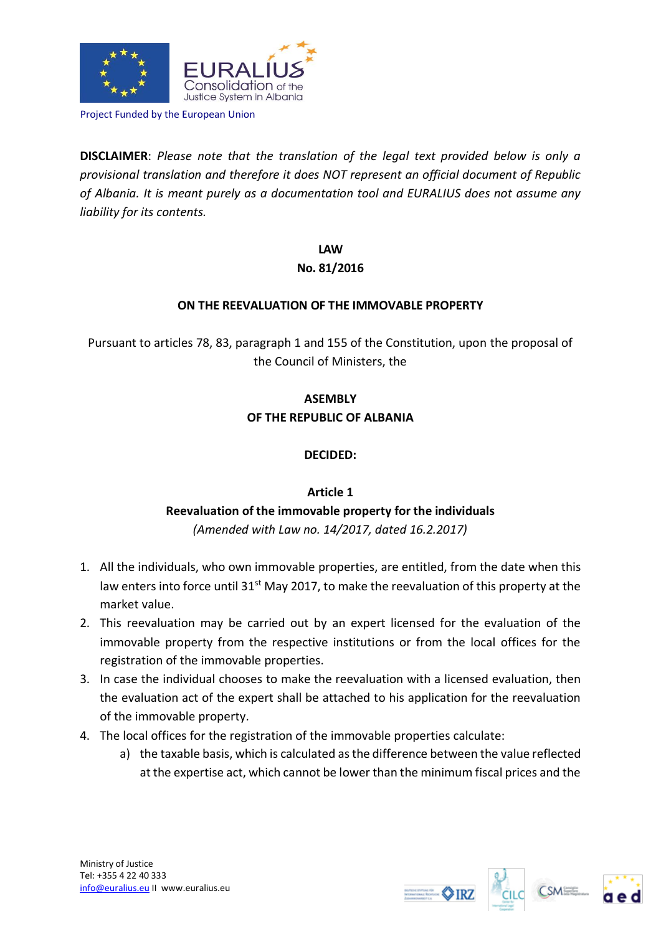

Project Funded by the European Union

**DISCLAIMER**: *Please note that the translation of the legal text provided below is only a provisional translation and therefore it does NOT represent an official document of Republic of Albania. It is meant purely as a documentation tool and EURALIUS does not assume any liability for its contents.*

> **LAW No. 81/2016**

## **ON THE REEVALUATION OF THE IMMOVABLE PROPERTY**

Pursuant to articles 78, 83, paragraph 1 and 155 of the Constitution, upon the proposal of the Council of Ministers, the

## **ASEMBLY OF THE REPUBLIC OF ALBANIA**

## **DECIDED:**

## **Article 1**

# **Reevaluation of the immovable property for the individuals**

*(Amended with Law no. 14/2017, dated 16.2.2017)*

- 1. All the individuals, who own immovable properties, are entitled, from the date when this law enters into force until 31<sup>st</sup> May 2017, to make the reevaluation of this property at the market value.
- 2. This reevaluation may be carried out by an expert licensed for the evaluation of the immovable property from the respective institutions or from the local offices for the registration of the immovable properties.
- 3. In case the individual chooses to make the reevaluation with a licensed evaluation, then the evaluation act of the expert shall be attached to his application for the reevaluation of the immovable property.
- 4. The local offices for the registration of the immovable properties calculate:
	- a) the taxable basis, which is calculated as the difference between the value reflected at the expertise act, which cannot be lower than the minimum fiscal prices and the





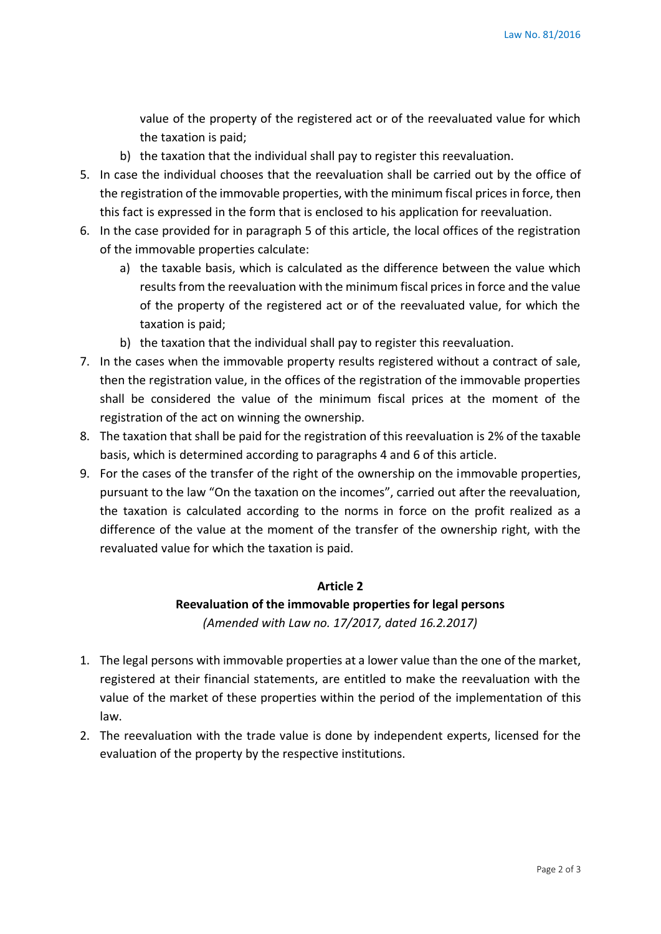value of the property of the registered act or of the reevaluated value for which the taxation is paid;

- b) the taxation that the individual shall pay to register this reevaluation.
- 5. In case the individual chooses that the reevaluation shall be carried out by the office of the registration of the immovable properties, with the minimum fiscal prices in force, then this fact is expressed in the form that is enclosed to his application for reevaluation.
- 6. In the case provided for in paragraph 5 of this article, the local offices of the registration of the immovable properties calculate:
	- a) the taxable basis, which is calculated as the difference between the value which results from the reevaluation with the minimum fiscal prices in force and the value of the property of the registered act or of the reevaluated value, for which the taxation is paid;
	- b) the taxation that the individual shall pay to register this reevaluation.
- 7. In the cases when the immovable property results registered without a contract of sale, then the registration value, in the offices of the registration of the immovable properties shall be considered the value of the minimum fiscal prices at the moment of the registration of the act on winning the ownership.
- 8. The taxation that shall be paid for the registration of this reevaluation is 2% of the taxable basis, which is determined according to paragraphs 4 and 6 of this article.
- 9. For the cases of the transfer of the right of the ownership on the immovable properties, pursuant to the law "On the taxation on the incomes", carried out after the reevaluation, the taxation is calculated according to the norms in force on the profit realized as a difference of the value at the moment of the transfer of the ownership right, with the revaluated value for which the taxation is paid.

#### **Article 2**

## **Reevaluation of the immovable properties for legal persons**  *(Amended with Law no. 17/2017, dated 16.2.2017)*

- 1. The legal persons with immovable properties at a lower value than the one of the market, registered at their financial statements, are entitled to make the reevaluation with the value of the market of these properties within the period of the implementation of this law.
- 2. The reevaluation with the trade value is done by independent experts, licensed for the evaluation of the property by the respective institutions.